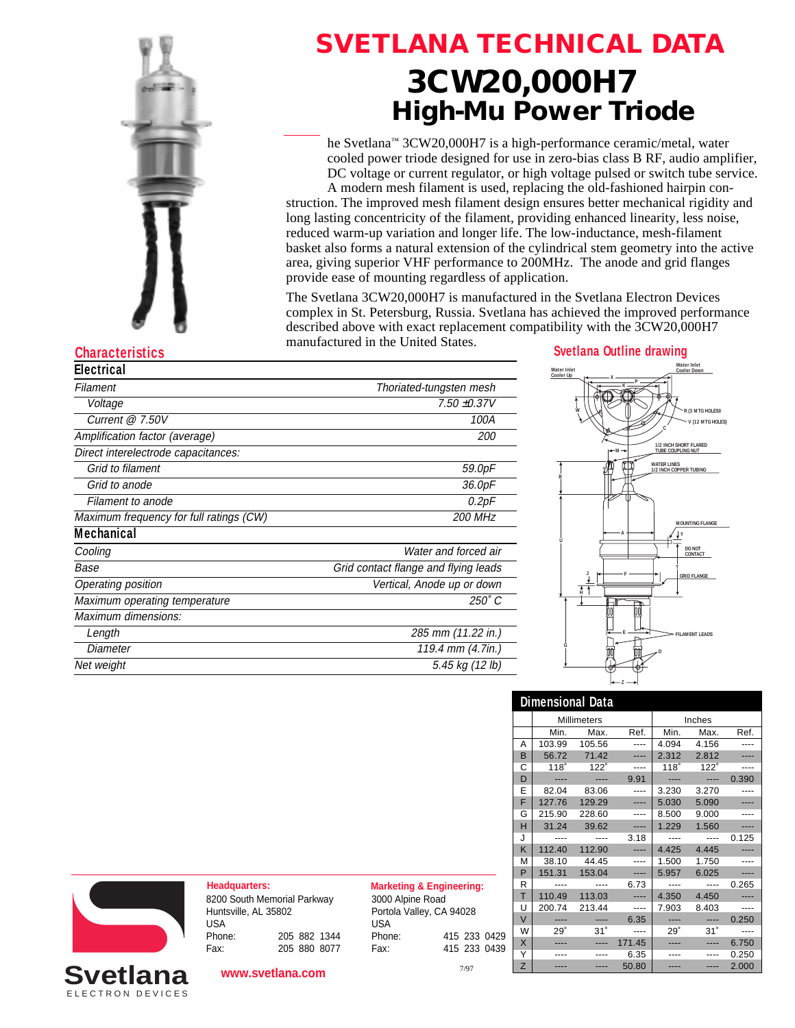

## **SVETLANA TECHNICAL DATA 3CW20,000H7 High-Mu Power Triode**

he Svetlana™ 3CW20,000H7 is a high-performance ceramic/metal, water cooled power triode designed for use in zero-bias class B RF, audio amplifier, DC voltage or current regulator, or high voltage pulsed or switch tube service.

A modern mesh filament is used, replacing the old-fashioned hairpin construction. The improved mesh filament design ensures better mechanical rigidity and long lasting concentricity of the filament, providing enhanced linearity, less noise, reduced warm-up variation and longer life. The low-inductance, mesh-filament basket also forms a natural extension of the cylindrical stem geometry into the active area, giving superior VHF performance to 200MHz. The anode and grid flanges provide ease of mounting regardless of application.

The Svetlana 3CW20,000H7 is manufactured in the Svetlana Electron Devices complex in St. Petersburg, Russia. Svetlana has achieved the improved performance described above with exact replacement compatibility with the 3CW20,000H7 manufactured in the United States.

| Electrical                              |                                      |
|-----------------------------------------|--------------------------------------|
| Filament                                | Thoriated-tungsten mesh              |
| Voltage                                 | $7.50 + 0.37V$                       |
| Current $@7.50V$                        | 100A                                 |
| Amplification factor (average)          | <i>200</i>                           |
| Direct interelectrode capacitances:     |                                      |
| Grid to filament                        | 59.0pF                               |
| Grid to anode                           | 36.0pF                               |
| Filament to anode                       | 0.2pF                                |
| Maximum frequency for full ratings (CW) | <b>200 MHz</b>                       |
| <b>Mechanical</b>                       |                                      |
| Cooling                                 | Water and forced air                 |
| Base                                    | Grid contact flange and flying leads |
| Operating position                      | Vertical, Anode up or down           |
| Maximum operating temperature           | 250° C                               |
| Maximum dimensions:                     |                                      |
| Length                                  | 285 mm (11.22 in.)                   |
| Diameter                                | 119.4 mm (4.7in.)                    |
| Net weight                              | 5.45 kg (12 lb)                      |
|                                         |                                      |



|        | <b>Dimensional Data</b>      |            |           |       |             |       |
|--------|------------------------------|------------|-----------|-------|-------------|-------|
|        | <b>Millimeters</b><br>Inches |            |           |       |             |       |
|        | Min.                         | Max.       | Ref.      | Min.  | Max.        | Ref.  |
| Α      | 103.99                       | 105.56     | ----      | 4.094 | 4.156       |       |
| B      | 56.72                        | 71.42      |           | 2.312 | 2.812       |       |
| С      | 118°                         | 122°       | ----      | 118°  | $122^\circ$ |       |
| D      |                              |            | 9.91      |       | ----        | 0.390 |
| E      | 82.04                        | 83.06      |           | 3.230 | 3.270       |       |
| F      | 127.76                       | 129.29     |           | 5.030 | 5.090       |       |
| G      | 215.90                       | 228.60     |           | 8.500 | 9.000       |       |
| H      | 31.24                        | 39.62      |           | 1.229 | 1.560       |       |
| J      |                              |            | 3.18      |       | ----        | 0.125 |
| K      | 112.40                       | 112.90     | ----      | 4.425 | 4.445       |       |
| м      | 38.10                        | 44.45      | ----      | 1.500 | 1.750       |       |
| P      | 151.31                       | 153.04     | ----      | 5.957 | 6.025       |       |
| R      |                              | ----       | 6.73      |       | ----        | 0.265 |
| T      | 110.49                       | 113.03     |           | 4.350 | 4.450       |       |
| U      | 200.74                       | 213.44     | $- - - -$ | 7.903 | 8.403       |       |
| $\vee$ |                              |            | 6.35      |       | ----        | 0.250 |
| W      | $29^\circ$                   | $31^\circ$ | ----      | 29°   | 31°         |       |
| X      |                              |            | 171.45    |       | ----        | 6.750 |
| Y      |                              |            | 6.35      |       |             | 0.250 |
| Z      |                              |            | 50.80     |       |             | 2.000 |



ELECTRON DEVICES **Svetlana**

**Headquarters: Marketing & Engineering:** 8200 South Memorial Parkway Huntsville, AL 35802 USA Phone: 205 882 1344 Fax: 205 880 8077

**www.svetlana.com**

3000 Alpine Road Portola Valley, CA 94028 USA Phone: 415 233 0429 Fax: 415 233 0439

7/97